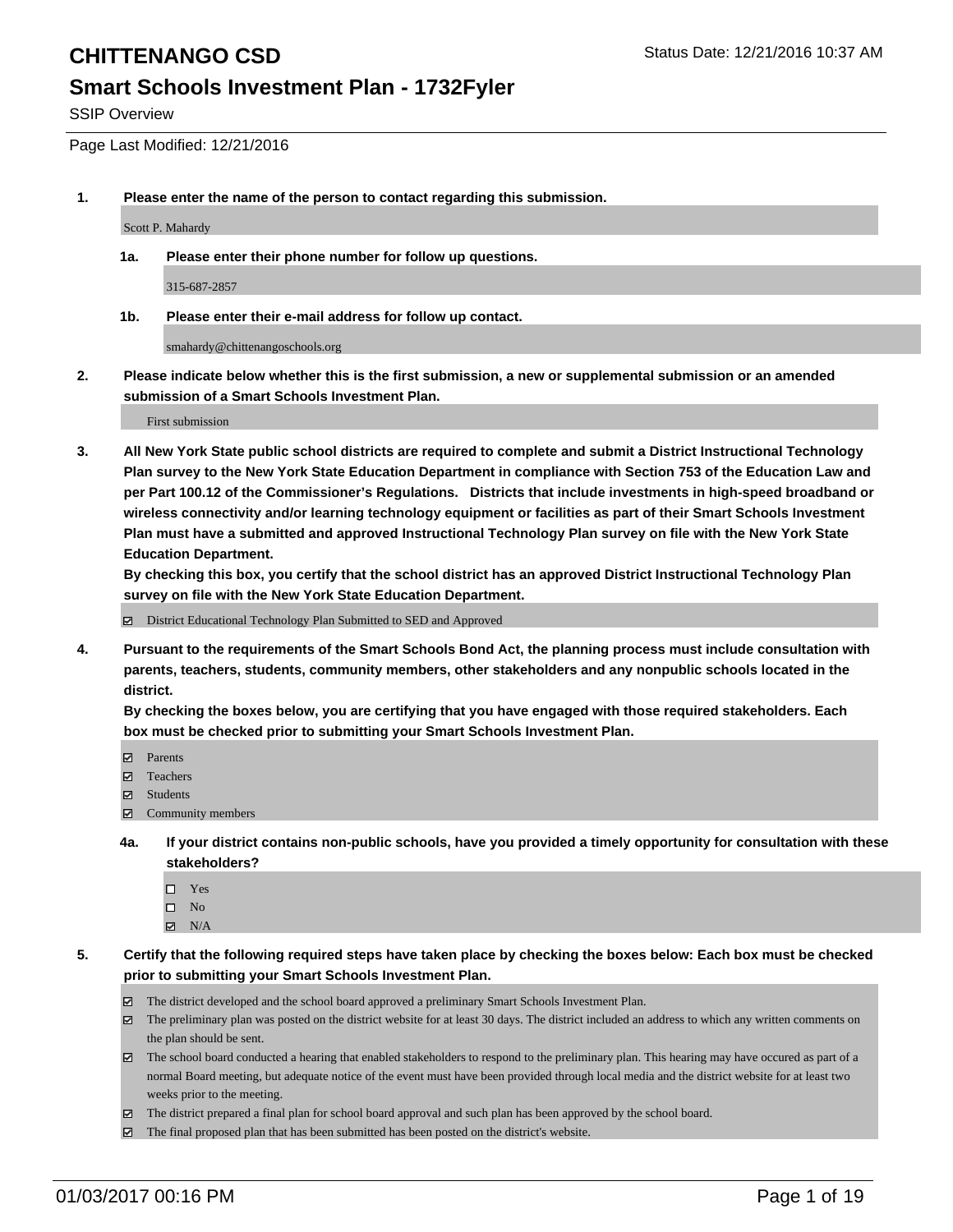# **Smart Schools Investment Plan - 1732Fyler**

SSIP Overview

Page Last Modified: 12/21/2016

**1. Please enter the name of the person to contact regarding this submission.**

Scott P. Mahardy

**1a. Please enter their phone number for follow up questions.**

315-687-2857

**1b. Please enter their e-mail address for follow up contact.**

smahardy@chittenangoschools.org

**2. Please indicate below whether this is the first submission, a new or supplemental submission or an amended submission of a Smart Schools Investment Plan.**

First submission

**3. All New York State public school districts are required to complete and submit a District Instructional Technology Plan survey to the New York State Education Department in compliance with Section 753 of the Education Law and per Part 100.12 of the Commissioner's Regulations. Districts that include investments in high-speed broadband or wireless connectivity and/or learning technology equipment or facilities as part of their Smart Schools Investment Plan must have a submitted and approved Instructional Technology Plan survey on file with the New York State Education Department.** 

**By checking this box, you certify that the school district has an approved District Instructional Technology Plan survey on file with the New York State Education Department.**

District Educational Technology Plan Submitted to SED and Approved

**4. Pursuant to the requirements of the Smart Schools Bond Act, the planning process must include consultation with parents, teachers, students, community members, other stakeholders and any nonpublic schools located in the district.** 

**By checking the boxes below, you are certifying that you have engaged with those required stakeholders. Each box must be checked prior to submitting your Smart Schools Investment Plan.**

- **Parents**
- Teachers
- **冈** Students
- Community members
- **4a. If your district contains non-public schools, have you provided a timely opportunity for consultation with these stakeholders?**
	- □ Yes
	- $\square$  No
	- $\boxtimes$  N/A
- **5. Certify that the following required steps have taken place by checking the boxes below: Each box must be checked prior to submitting your Smart Schools Investment Plan.**
	- The district developed and the school board approved a preliminary Smart Schools Investment Plan.
	- The preliminary plan was posted on the district website for at least 30 days. The district included an address to which any written comments on the plan should be sent.
	- The school board conducted a hearing that enabled stakeholders to respond to the preliminary plan. This hearing may have occured as part of a normal Board meeting, but adequate notice of the event must have been provided through local media and the district website for at least two weeks prior to the meeting.
	- The district prepared a final plan for school board approval and such plan has been approved by the school board.
	- $\boxtimes$  The final proposed plan that has been submitted has been posted on the district's website.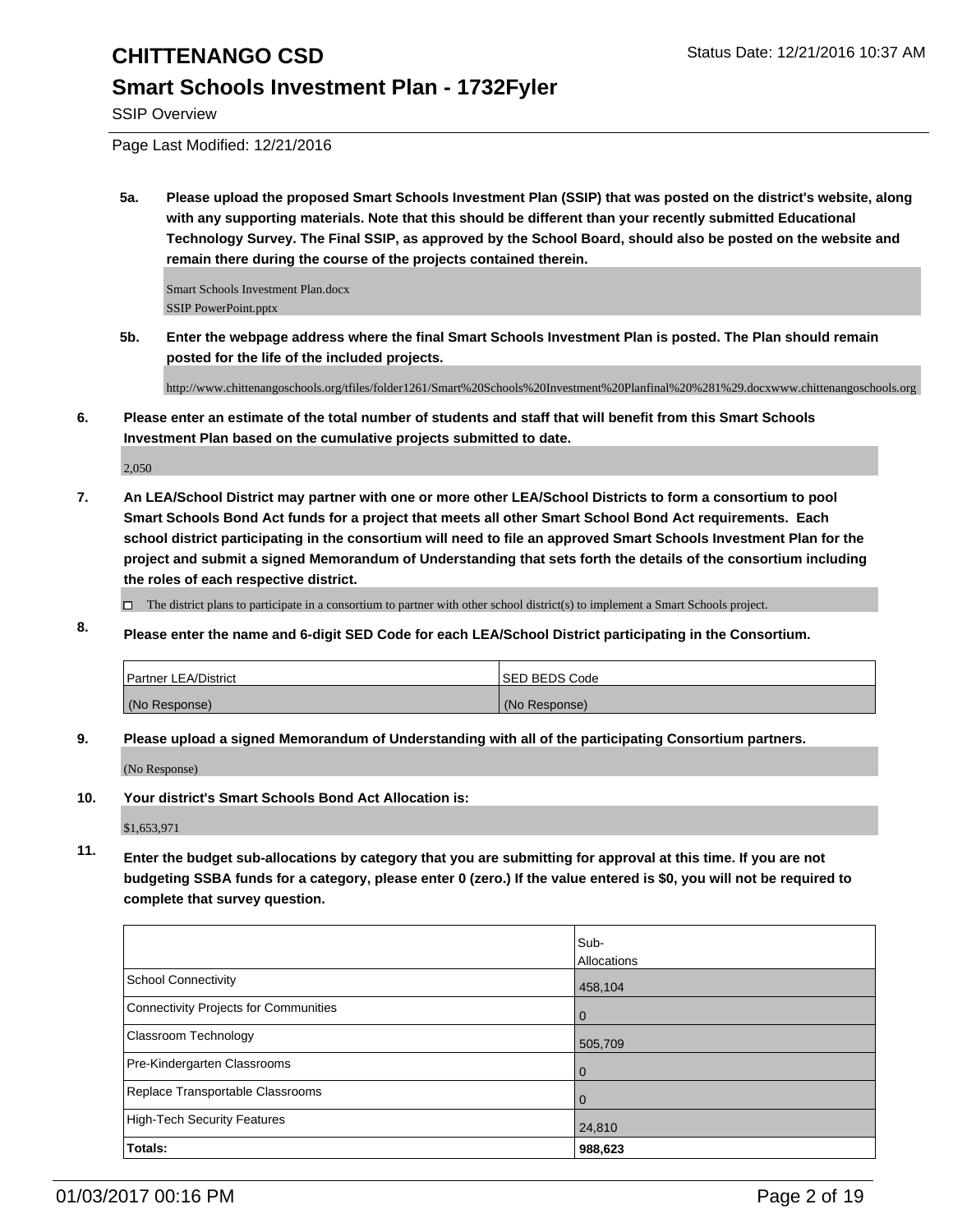## **Smart Schools Investment Plan - 1732Fyler**

SSIP Overview

Page Last Modified: 12/21/2016

**5a. Please upload the proposed Smart Schools Investment Plan (SSIP) that was posted on the district's website, along with any supporting materials. Note that this should be different than your recently submitted Educational Technology Survey. The Final SSIP, as approved by the School Board, should also be posted on the website and remain there during the course of the projects contained therein.**

Smart Schools Investment Plan.docx SSIP PowerPoint.pptx

**5b. Enter the webpage address where the final Smart Schools Investment Plan is posted. The Plan should remain posted for the life of the included projects.**

http://www.chittenangoschools.org/tfiles/folder1261/Smart%20Schools%20Investment%20Planfinal%20%281%29.docxwww.chittenangoschools.org

**6. Please enter an estimate of the total number of students and staff that will benefit from this Smart Schools Investment Plan based on the cumulative projects submitted to date.**

2,050

**7. An LEA/School District may partner with one or more other LEA/School Districts to form a consortium to pool Smart Schools Bond Act funds for a project that meets all other Smart School Bond Act requirements. Each school district participating in the consortium will need to file an approved Smart Schools Investment Plan for the project and submit a signed Memorandum of Understanding that sets forth the details of the consortium including the roles of each respective district.**

 $\Box$  The district plans to participate in a consortium to partner with other school district(s) to implement a Smart Schools project.

**8. Please enter the name and 6-digit SED Code for each LEA/School District participating in the Consortium.**

| <b>Partner LEA/District</b> | ISED BEDS Code |
|-----------------------------|----------------|
| (No Response)               | (No Response)  |

**9. Please upload a signed Memorandum of Understanding with all of the participating Consortium partners.**

(No Response)

**10. Your district's Smart Schools Bond Act Allocation is:**

\$1,653,971

**11. Enter the budget sub-allocations by category that you are submitting for approval at this time. If you are not budgeting SSBA funds for a category, please enter 0 (zero.) If the value entered is \$0, you will not be required to complete that survey question.**

|                                       | Sub-<br><b>Allocations</b> |
|---------------------------------------|----------------------------|
| School Connectivity                   | 458,104                    |
| Connectivity Projects for Communities | l 0                        |
| <b>Classroom Technology</b>           | 505,709                    |
| Pre-Kindergarten Classrooms           | l 0                        |
| Replace Transportable Classrooms      | $\Omega$                   |
| High-Tech Security Features           | 24,810                     |
| Totals:                               | 988,623                    |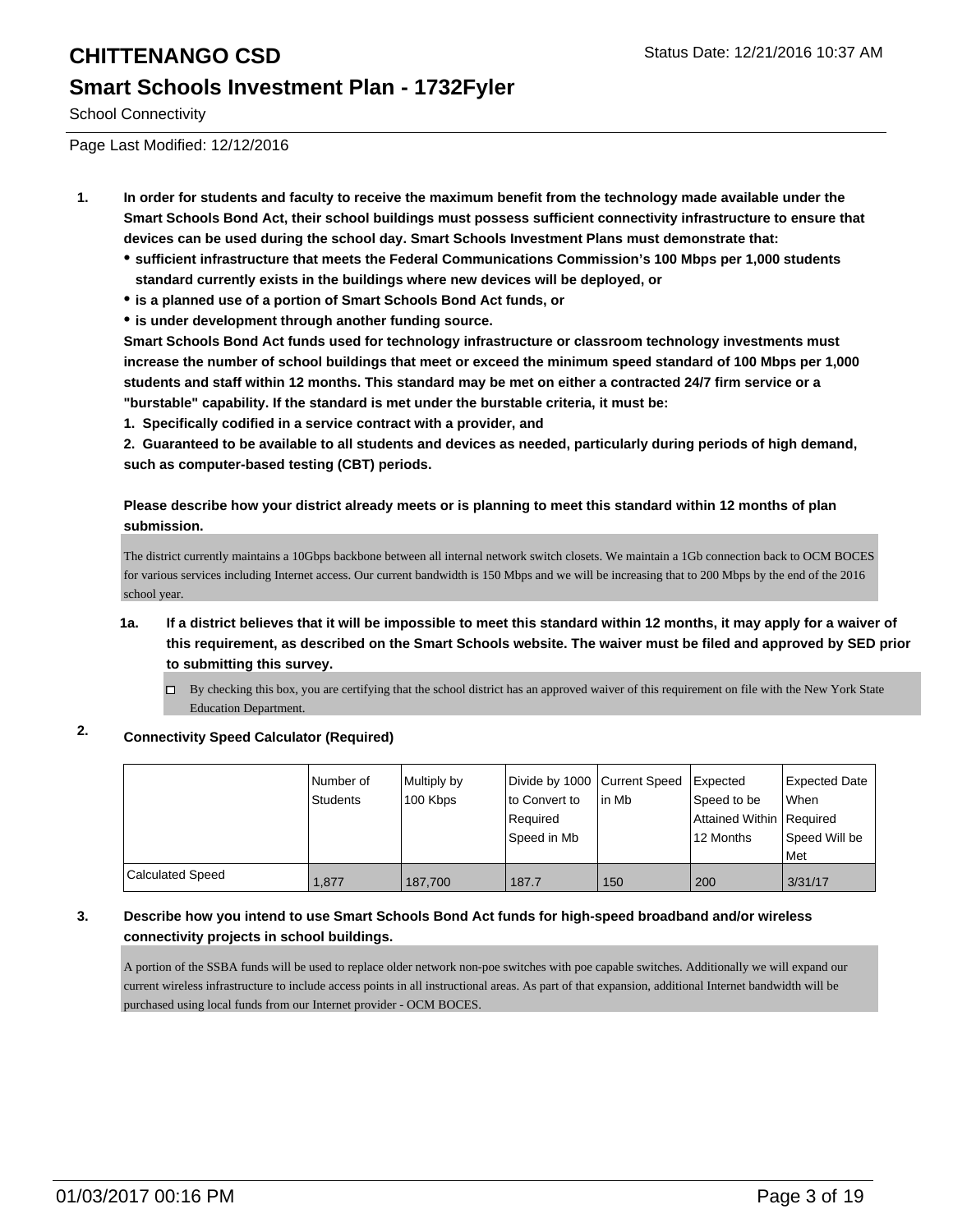## School Connectivity

Page Last Modified: 12/12/2016

- **1. In order for students and faculty to receive the maximum benefit from the technology made available under the Smart Schools Bond Act, their school buildings must possess sufficient connectivity infrastructure to ensure that devices can be used during the school day. Smart Schools Investment Plans must demonstrate that:**
	- **sufficient infrastructure that meets the Federal Communications Commission's 100 Mbps per 1,000 students standard currently exists in the buildings where new devices will be deployed, or**
	- **is a planned use of a portion of Smart Schools Bond Act funds, or**
	- **is under development through another funding source.**

**Smart Schools Bond Act funds used for technology infrastructure or classroom technology investments must increase the number of school buildings that meet or exceed the minimum speed standard of 100 Mbps per 1,000 students and staff within 12 months. This standard may be met on either a contracted 24/7 firm service or a "burstable" capability. If the standard is met under the burstable criteria, it must be:**

**1. Specifically codified in a service contract with a provider, and**

**2. Guaranteed to be available to all students and devices as needed, particularly during periods of high demand, such as computer-based testing (CBT) periods.**

**Please describe how your district already meets or is planning to meet this standard within 12 months of plan submission.**

The district currently maintains a 10Gbps backbone between all internal network switch closets. We maintain a 1Gb connection back to OCM BOCES for various services including Internet access. Our current bandwidth is 150 Mbps and we will be increasing that to 200 Mbps by the end of the 2016 school year.

- **1a. If a district believes that it will be impossible to meet this standard within 12 months, it may apply for a waiver of this requirement, as described on the Smart Schools website. The waiver must be filed and approved by SED prior to submitting this survey.**
	- □ By checking this box, you are certifying that the school district has an approved waiver of this requirement on file with the New York State Education Department.

### **2. Connectivity Speed Calculator (Required)**

|                  | Number of<br>Students | Multiply by<br>100 Kbps | Divide by 1000 Current Speed<br>lto Convert to<br>Reauired<br>Speed in Mb | lin Mb | Expected<br>Speed to be<br>Attained Within Required<br>12 Months | Expected Date<br><b>When</b><br>Speed Will be<br><b>Met</b> |
|------------------|-----------------------|-------------------------|---------------------------------------------------------------------------|--------|------------------------------------------------------------------|-------------------------------------------------------------|
| Calculated Speed | 1,877                 | 187.700                 | 187.7                                                                     | 150    | 200                                                              | 3/31/17                                                     |

#### **3. Describe how you intend to use Smart Schools Bond Act funds for high-speed broadband and/or wireless connectivity projects in school buildings.**

A portion of the SSBA funds will be used to replace older network non-poe switches with poe capable switches. Additionally we will expand our current wireless infrastructure to include access points in all instructional areas. As part of that expansion, additional Internet bandwidth will be purchased using local funds from our Internet provider - OCM BOCES.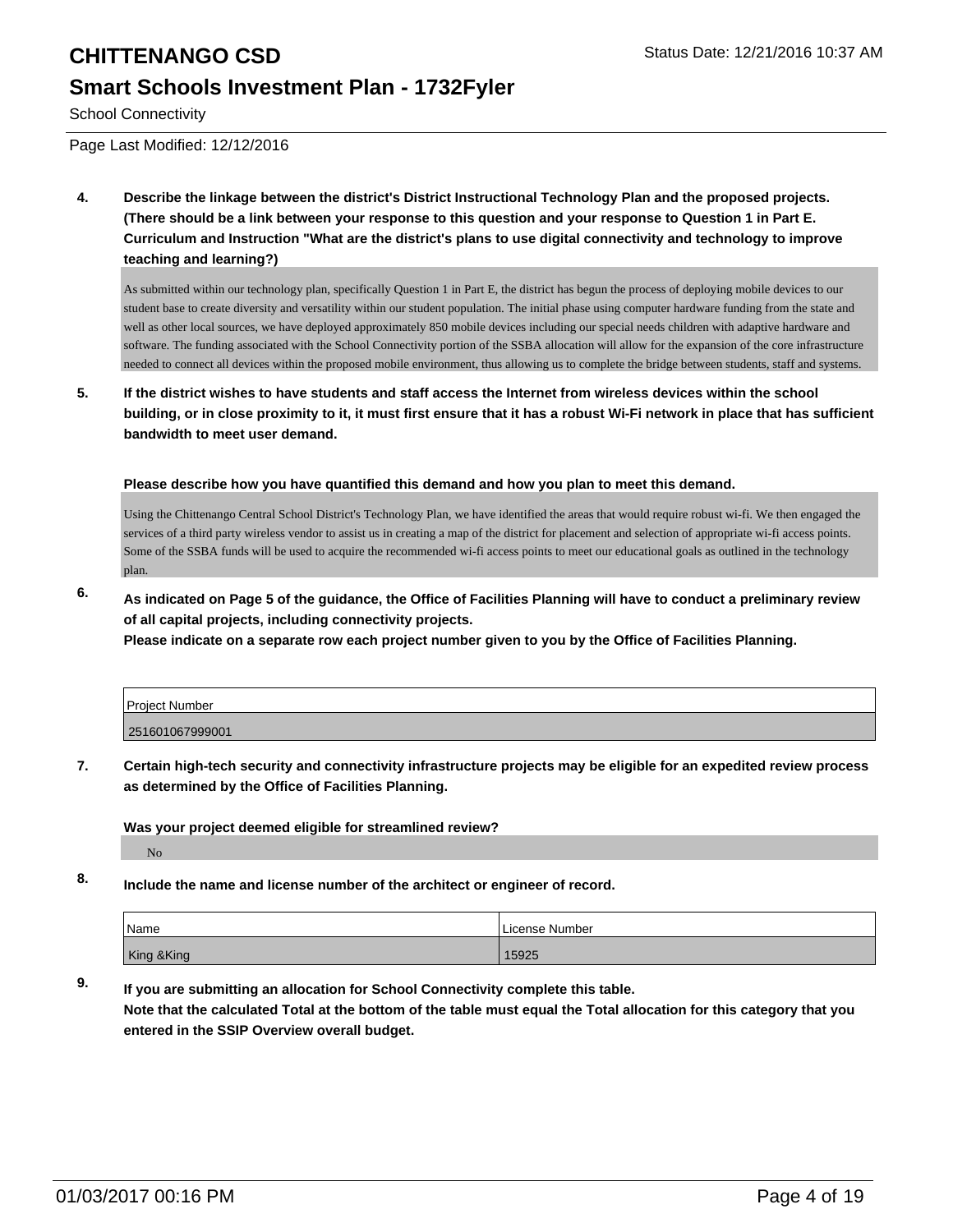# **CHITTENANGO CSD CONTRENANGO CSD Status Date: 12/21/2016 10:37 AM Smart Schools Investment Plan - 1732Fyler**

School Connectivity

Page Last Modified: 12/12/2016

**4. Describe the linkage between the district's District Instructional Technology Plan and the proposed projects. (There should be a link between your response to this question and your response to Question 1 in Part E. Curriculum and Instruction "What are the district's plans to use digital connectivity and technology to improve teaching and learning?)**

As submitted within our technology plan, specifically Question 1 in Part E, the district has begun the process of deploying mobile devices to our student base to create diversity and versatility within our student population. The initial phase using computer hardware funding from the state and well as other local sources, we have deployed approximately 850 mobile devices including our special needs children with adaptive hardware and software. The funding associated with the School Connectivity portion of the SSBA allocation will allow for the expansion of the core infrastructure needed to connect all devices within the proposed mobile environment, thus allowing us to complete the bridge between students, staff and systems.

**5. If the district wishes to have students and staff access the Internet from wireless devices within the school building, or in close proximity to it, it must first ensure that it has a robust Wi-Fi network in place that has sufficient bandwidth to meet user demand.**

**Please describe how you have quantified this demand and how you plan to meet this demand.**

Using the Chittenango Central School District's Technology Plan, we have identified the areas that would require robust wi-fi. We then engaged the services of a third party wireless vendor to assist us in creating a map of the district for placement and selection of appropriate wi-fi access points. Some of the SSBA funds will be used to acquire the recommended wi-fi access points to meet our educational goals as outlined in the technology plan.

**6. As indicated on Page 5 of the guidance, the Office of Facilities Planning will have to conduct a preliminary review of all capital projects, including connectivity projects.**

**Please indicate on a separate row each project number given to you by the Office of Facilities Planning.**

| <b>Project Number</b> |  |
|-----------------------|--|
| 251601067999001       |  |

**7. Certain high-tech security and connectivity infrastructure projects may be eligible for an expedited review process as determined by the Office of Facilities Planning.**

**Was your project deemed eligible for streamlined review?**

No

**8. Include the name and license number of the architect or engineer of record.**

| Name       | License Number |
|------------|----------------|
| King &King | 15925          |

**9. If you are submitting an allocation for School Connectivity complete this table. Note that the calculated Total at the bottom of the table must equal the Total allocation for this category that you entered in the SSIP Overview overall budget.**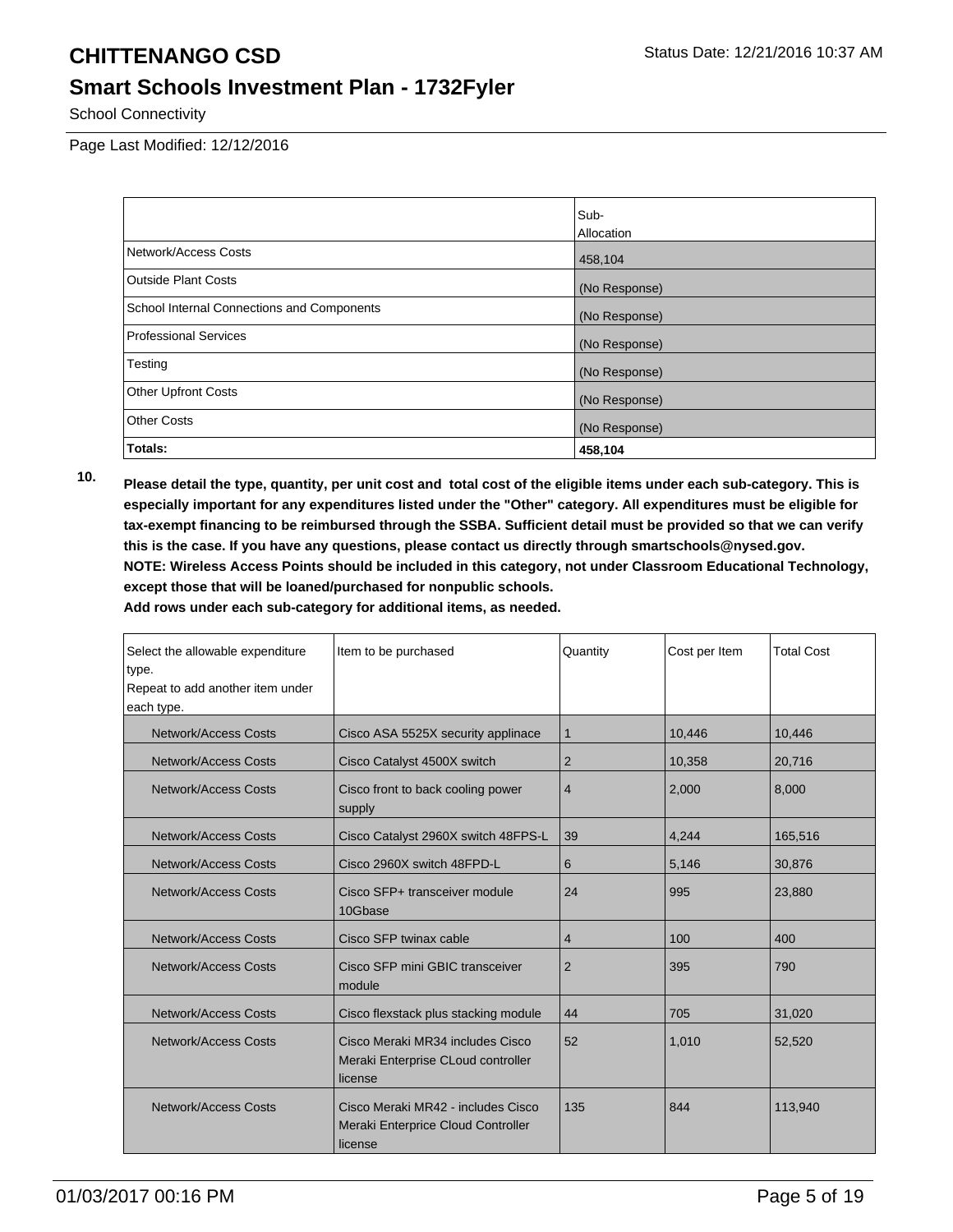## **Smart Schools Investment Plan - 1732Fyler**

School Connectivity

Page Last Modified: 12/12/2016

|                                            | Sub-          |
|--------------------------------------------|---------------|
|                                            | Allocation    |
| Network/Access Costs                       | 458,104       |
| <b>Outside Plant Costs</b>                 | (No Response) |
| School Internal Connections and Components | (No Response) |
| <b>Professional Services</b>               | (No Response) |
| Testing                                    | (No Response) |
| <b>Other Upfront Costs</b>                 | (No Response) |
| <b>Other Costs</b>                         | (No Response) |
| Totals:                                    | 458,104       |

**10. Please detail the type, quantity, per unit cost and total cost of the eligible items under each sub-category. This is especially important for any expenditures listed under the "Other" category. All expenditures must be eligible for tax-exempt financing to be reimbursed through the SSBA. Sufficient detail must be provided so that we can verify this is the case. If you have any questions, please contact us directly through smartschools@nysed.gov. NOTE: Wireless Access Points should be included in this category, not under Classroom Educational Technology, except those that will be loaned/purchased for nonpublic schools.**

| Select the allowable expenditure<br>type.<br>Repeat to add another item under<br>each type. | Item to be purchased                                                                | Quantity       | Cost per Item | <b>Total Cost</b> |
|---------------------------------------------------------------------------------------------|-------------------------------------------------------------------------------------|----------------|---------------|-------------------|
| <b>Network/Access Costs</b>                                                                 | Cisco ASA 5525X security applinace                                                  | $\mathbf 1$    | 10,446        | 10,446            |
| <b>Network/Access Costs</b>                                                                 | Cisco Catalyst 4500X switch                                                         | $\overline{2}$ | 10,358        | 20,716            |
| Network/Access Costs                                                                        | Cisco front to back cooling power<br>supply                                         | $\overline{4}$ | 2,000         | 8,000             |
| <b>Network/Access Costs</b>                                                                 | Cisco Catalyst 2960X switch 48FPS-L                                                 | 39             | 4,244         | 165,516           |
| <b>Network/Access Costs</b>                                                                 | Cisco 2960X switch 48FPD-L                                                          | 6              | 5,146         | 30,876            |
| Network/Access Costs                                                                        | Cisco SFP+ transceiver module<br>10Gbase                                            |                | 995           | 23,880            |
| <b>Network/Access Costs</b>                                                                 | Cisco SFP twinax cable                                                              | 4              | 100           | 400               |
| Network/Access Costs<br>Cisco SFP mini GBIC transceiver<br>module                           |                                                                                     | $\overline{2}$ | 395           | 790               |
| <b>Network/Access Costs</b>                                                                 | Cisco flexstack plus stacking module                                                | 44             | 705           | 31,020            |
| Network/Access Costs                                                                        | Cisco Meraki MR34 includes Cisco<br>Meraki Enterprise CLoud controller<br>license   |                | 1,010         | 52,520            |
| Network/Access Costs                                                                        | Cisco Meraki MR42 - includes Cisco<br>Meraki Enterprice Cloud Controller<br>license |                | 844           | 113,940           |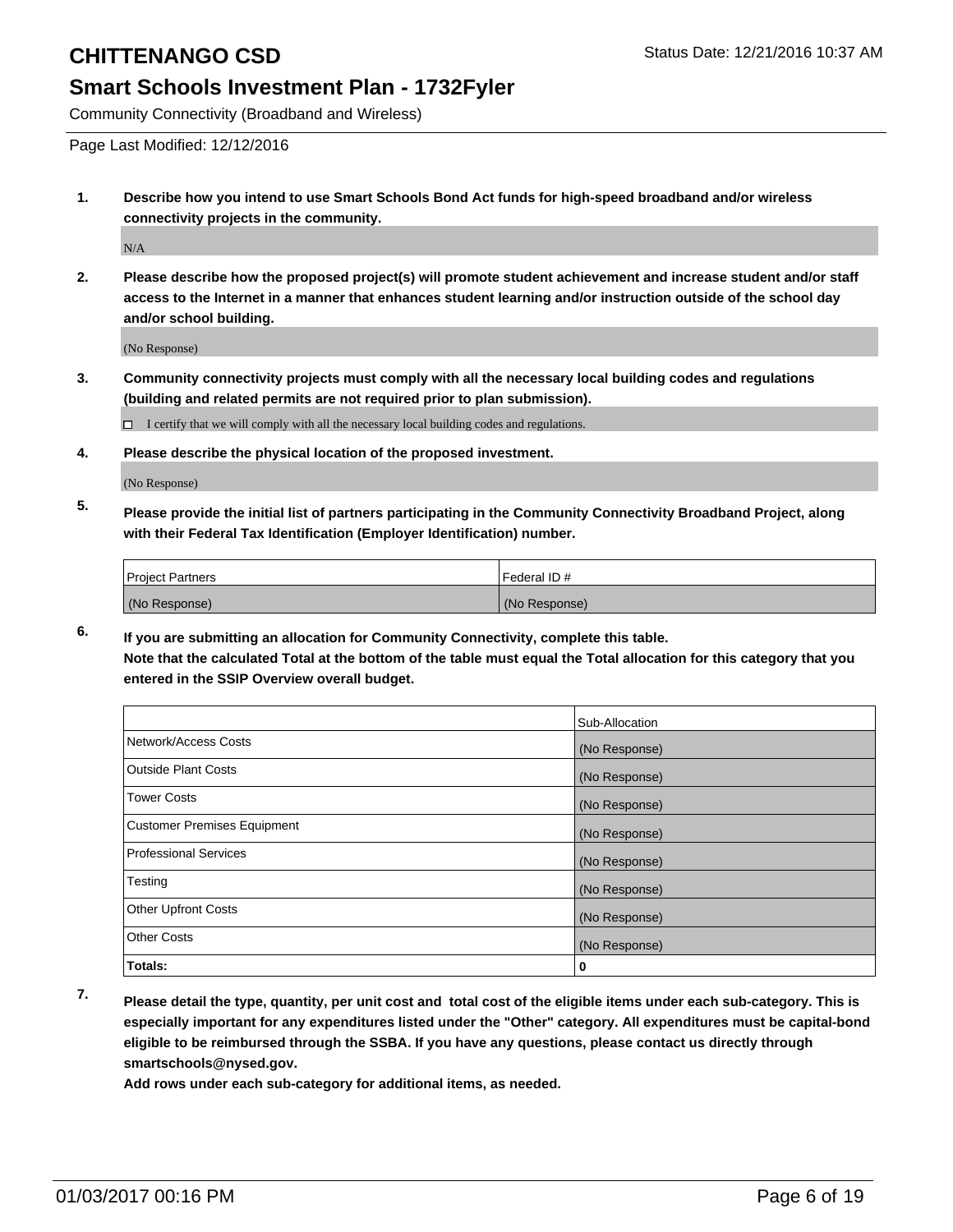# **Smart Schools Investment Plan - 1732Fyler**

Community Connectivity (Broadband and Wireless)

Page Last Modified: 12/12/2016

**1. Describe how you intend to use Smart Schools Bond Act funds for high-speed broadband and/or wireless connectivity projects in the community.**

N/A

**2. Please describe how the proposed project(s) will promote student achievement and increase student and/or staff access to the Internet in a manner that enhances student learning and/or instruction outside of the school day and/or school building.**

(No Response)

**3. Community connectivity projects must comply with all the necessary local building codes and regulations (building and related permits are not required prior to plan submission).**

 $\Box$  I certify that we will comply with all the necessary local building codes and regulations.

**4. Please describe the physical location of the proposed investment.**

(No Response)

**5. Please provide the initial list of partners participating in the Community Connectivity Broadband Project, along with their Federal Tax Identification (Employer Identification) number.**

| <b>Project Partners</b> | l Federal ID # |
|-------------------------|----------------|
| (No Response)           | (No Response)  |

**6. If you are submitting an allocation for Community Connectivity, complete this table. Note that the calculated Total at the bottom of the table must equal the Total allocation for this category that you entered in the SSIP Overview overall budget.**

|                                    | Sub-Allocation |
|------------------------------------|----------------|
| Network/Access Costs               | (No Response)  |
| <b>Outside Plant Costs</b>         | (No Response)  |
| <b>Tower Costs</b>                 | (No Response)  |
| <b>Customer Premises Equipment</b> | (No Response)  |
| <b>Professional Services</b>       | (No Response)  |
| Testing                            | (No Response)  |
| <b>Other Upfront Costs</b>         | (No Response)  |
| <b>Other Costs</b>                 | (No Response)  |
| Totals:                            | 0              |

**7. Please detail the type, quantity, per unit cost and total cost of the eligible items under each sub-category. This is especially important for any expenditures listed under the "Other" category. All expenditures must be capital-bond eligible to be reimbursed through the SSBA. If you have any questions, please contact us directly through smartschools@nysed.gov.**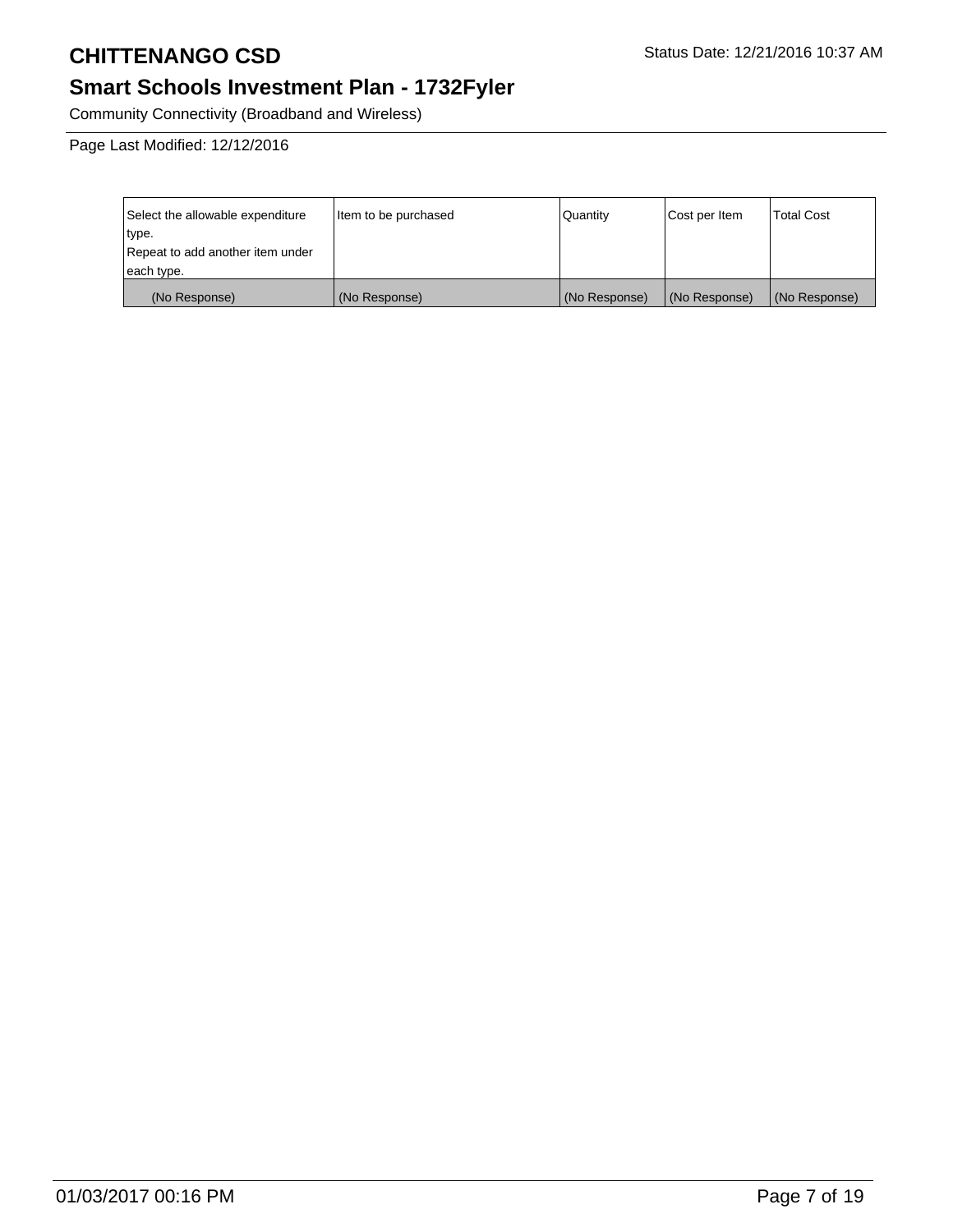# **Smart Schools Investment Plan - 1732Fyler**

Community Connectivity (Broadband and Wireless)

Page Last Modified: 12/12/2016

| Select the allowable expenditure | Item to be purchased | Quantity      | Cost per Item | <b>Total Cost</b> |
|----------------------------------|----------------------|---------------|---------------|-------------------|
| type.                            |                      |               |               |                   |
| Repeat to add another item under |                      |               |               |                   |
| each type.                       |                      |               |               |                   |
| (No Response)                    | (No Response)        | (No Response) | (No Response) | (No Response)     |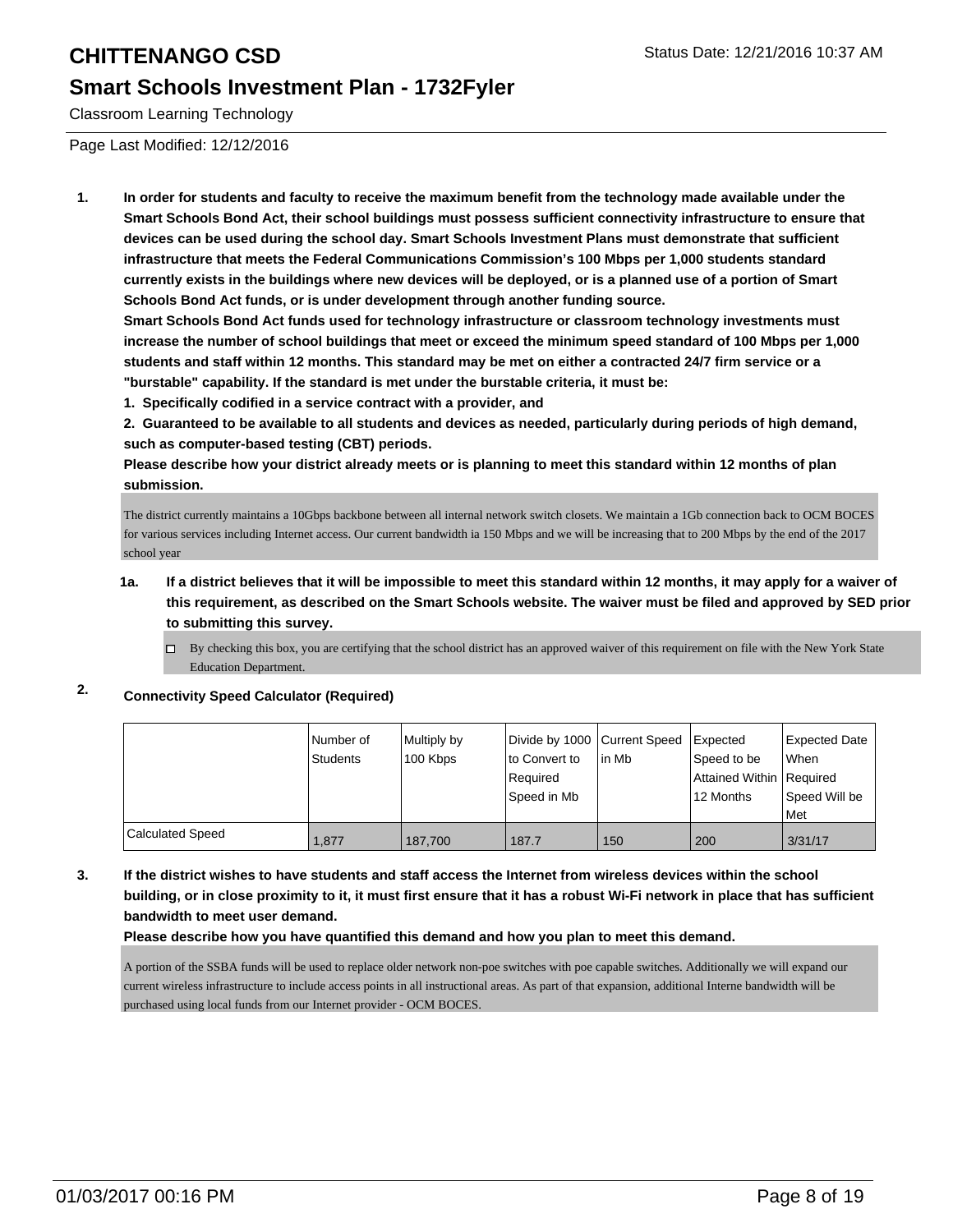## **Smart Schools Investment Plan - 1732Fyler**

Classroom Learning Technology

Page Last Modified: 12/12/2016

**1. In order for students and faculty to receive the maximum benefit from the technology made available under the Smart Schools Bond Act, their school buildings must possess sufficient connectivity infrastructure to ensure that devices can be used during the school day. Smart Schools Investment Plans must demonstrate that sufficient infrastructure that meets the Federal Communications Commission's 100 Mbps per 1,000 students standard currently exists in the buildings where new devices will be deployed, or is a planned use of a portion of Smart Schools Bond Act funds, or is under development through another funding source.**

**Smart Schools Bond Act funds used for technology infrastructure or classroom technology investments must increase the number of school buildings that meet or exceed the minimum speed standard of 100 Mbps per 1,000 students and staff within 12 months. This standard may be met on either a contracted 24/7 firm service or a "burstable" capability. If the standard is met under the burstable criteria, it must be:**

**1. Specifically codified in a service contract with a provider, and**

**2. Guaranteed to be available to all students and devices as needed, particularly during periods of high demand, such as computer-based testing (CBT) periods.**

**Please describe how your district already meets or is planning to meet this standard within 12 months of plan submission.**

The district currently maintains a 10Gbps backbone between all internal network switch closets. We maintain a 1Gb connection back to OCM BOCES for various services including Internet access. Our current bandwidth ia 150 Mbps and we will be increasing that to 200 Mbps by the end of the 2017 school year

- **1a. If a district believes that it will be impossible to meet this standard within 12 months, it may apply for a waiver of this requirement, as described on the Smart Schools website. The waiver must be filed and approved by SED prior to submitting this survey.**
	- $\Box$  By checking this box, you are certifying that the school district has an approved waiver of this requirement on file with the New York State Education Department.
- **2. Connectivity Speed Calculator (Required)**

|                         | Number of<br>Students | Multiply by<br>100 Kbps | Divide by 1000 Current Speed<br>Ito Convert to<br>Required<br> Speed in Mb | in Mb | Expected<br>Speed to be<br>Attained Within   Required<br>12 Months | Expected Date<br><b>When</b><br>Speed Will be |
|-------------------------|-----------------------|-------------------------|----------------------------------------------------------------------------|-------|--------------------------------------------------------------------|-----------------------------------------------|
|                         |                       |                         |                                                                            |       |                                                                    | <b>Met</b>                                    |
| <b>Calculated Speed</b> | 1,877                 | 187.700                 | 187.7                                                                      | 150   | 200                                                                | 3/31/17                                       |

**3. If the district wishes to have students and staff access the Internet from wireless devices within the school building, or in close proximity to it, it must first ensure that it has a robust Wi-Fi network in place that has sufficient bandwidth to meet user demand.**

**Please describe how you have quantified this demand and how you plan to meet this demand.**

A portion of the SSBA funds will be used to replace older network non-poe switches with poe capable switches. Additionally we will expand our current wireless infrastructure to include access points in all instructional areas. As part of that expansion, additional Interne bandwidth will be purchased using local funds from our Internet provider - OCM BOCES.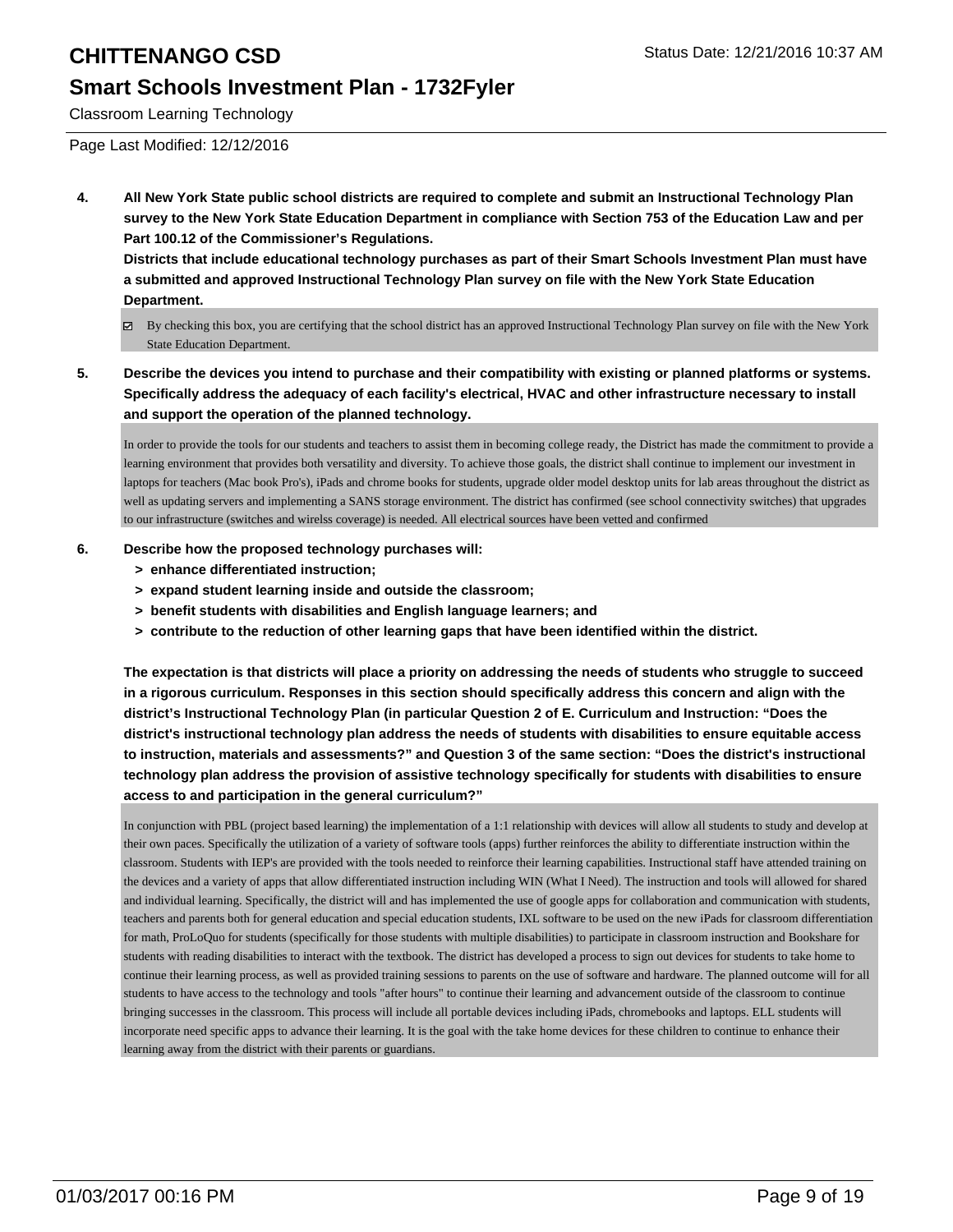## **Smart Schools Investment Plan - 1732Fyler**

Classroom Learning Technology

Page Last Modified: 12/12/2016

**4. All New York State public school districts are required to complete and submit an Instructional Technology Plan survey to the New York State Education Department in compliance with Section 753 of the Education Law and per Part 100.12 of the Commissioner's Regulations.**

**Districts that include educational technology purchases as part of their Smart Schools Investment Plan must have a submitted and approved Instructional Technology Plan survey on file with the New York State Education Department.**

- By checking this box, you are certifying that the school district has an approved Instructional Technology Plan survey on file with the New York State Education Department.
- **5. Describe the devices you intend to purchase and their compatibility with existing or planned platforms or systems. Specifically address the adequacy of each facility's electrical, HVAC and other infrastructure necessary to install and support the operation of the planned technology.**

In order to provide the tools for our students and teachers to assist them in becoming college ready, the District has made the commitment to provide a learning environment that provides both versatility and diversity. To achieve those goals, the district shall continue to implement our investment in laptops for teachers (Mac book Pro's), iPads and chrome books for students, upgrade older model desktop units for lab areas throughout the district as well as updating servers and implementing a SANS storage environment. The district has confirmed (see school connectivity switches) that upgrades to our infrastructure (switches and wirelss coverage) is needed. All electrical sources have been vetted and confirmed

#### **6. Describe how the proposed technology purchases will:**

- **> enhance differentiated instruction;**
- **> expand student learning inside and outside the classroom;**
- **> benefit students with disabilities and English language learners; and**
- **> contribute to the reduction of other learning gaps that have been identified within the district.**

**The expectation is that districts will place a priority on addressing the needs of students who struggle to succeed in a rigorous curriculum. Responses in this section should specifically address this concern and align with the district's Instructional Technology Plan (in particular Question 2 of E. Curriculum and Instruction: "Does the district's instructional technology plan address the needs of students with disabilities to ensure equitable access to instruction, materials and assessments?" and Question 3 of the same section: "Does the district's instructional technology plan address the provision of assistive technology specifically for students with disabilities to ensure access to and participation in the general curriculum?"**

In conjunction with PBL (project based learning) the implementation of a 1:1 relationship with devices will allow all students to study and develop at their own paces. Specifically the utilization of a variety of software tools (apps) further reinforces the ability to differentiate instruction within the classroom. Students with IEP's are provided with the tools needed to reinforce their learning capabilities. Instructional staff have attended training on the devices and a variety of apps that allow differentiated instruction including WIN (What I Need). The instruction and tools will allowed for shared and individual learning. Specifically, the district will and has implemented the use of google apps for collaboration and communication with students, teachers and parents both for general education and special education students, IXL software to be used on the new iPads for classroom differentiation for math, ProLoQuo for students (specifically for those students with multiple disabilities) to participate in classroom instruction and Bookshare for students with reading disabilities to interact with the textbook. The district has developed a process to sign out devices for students to take home to continue their learning process, as well as provided training sessions to parents on the use of software and hardware. The planned outcome will for all students to have access to the technology and tools "after hours" to continue their learning and advancement outside of the classroom to continue bringing successes in the classroom. This process will include all portable devices including iPads, chromebooks and laptops. ELL students will incorporate need specific apps to advance their learning. It is the goal with the take home devices for these children to continue to enhance their learning away from the district with their parents or guardians.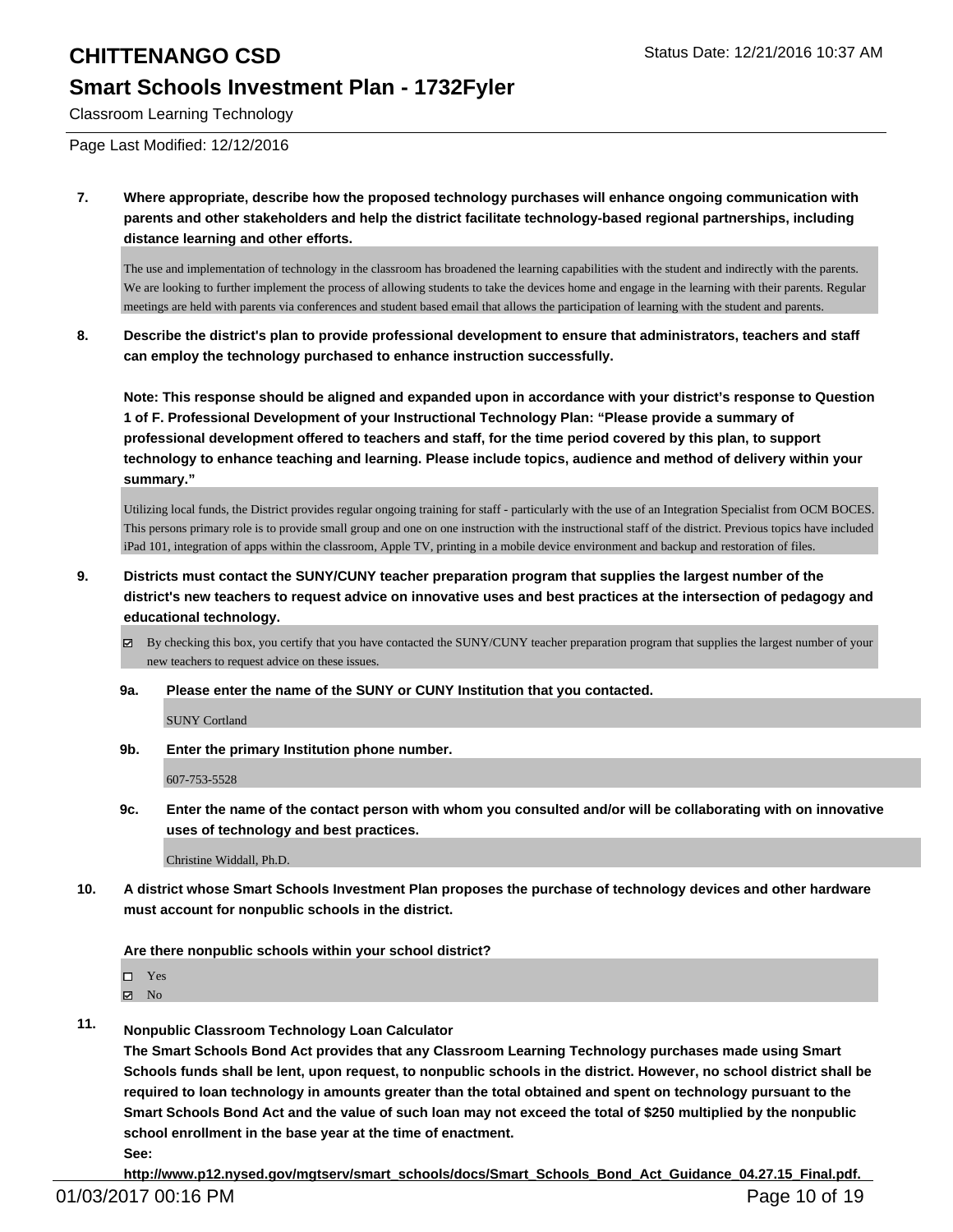## **Smart Schools Investment Plan - 1732Fyler**

Classroom Learning Technology

Page Last Modified: 12/12/2016

**7. Where appropriate, describe how the proposed technology purchases will enhance ongoing communication with parents and other stakeholders and help the district facilitate technology-based regional partnerships, including distance learning and other efforts.**

The use and implementation of technology in the classroom has broadened the learning capabilities with the student and indirectly with the parents. We are looking to further implement the process of allowing students to take the devices home and engage in the learning with their parents. Regular meetings are held with parents via conferences and student based email that allows the participation of learning with the student and parents.

**8. Describe the district's plan to provide professional development to ensure that administrators, teachers and staff can employ the technology purchased to enhance instruction successfully.**

**Note: This response should be aligned and expanded upon in accordance with your district's response to Question 1 of F. Professional Development of your Instructional Technology Plan: "Please provide a summary of professional development offered to teachers and staff, for the time period covered by this plan, to support technology to enhance teaching and learning. Please include topics, audience and method of delivery within your summary."**

Utilizing local funds, the District provides regular ongoing training for staff - particularly with the use of an Integration Specialist from OCM BOCES. This persons primary role is to provide small group and one on one instruction with the instructional staff of the district. Previous topics have included iPad 101, integration of apps within the classroom, Apple TV, printing in a mobile device environment and backup and restoration of files.

- **9. Districts must contact the SUNY/CUNY teacher preparation program that supplies the largest number of the district's new teachers to request advice on innovative uses and best practices at the intersection of pedagogy and educational technology.**
	- By checking this box, you certify that you have contacted the SUNY/CUNY teacher preparation program that supplies the largest number of your new teachers to request advice on these issues.
	- **9a. Please enter the name of the SUNY or CUNY Institution that you contacted.**

SUNY Cortland

**9b. Enter the primary Institution phone number.**

607-753-5528

**9c. Enter the name of the contact person with whom you consulted and/or will be collaborating with on innovative uses of technology and best practices.**

Christine Widdall, Ph.D.

**10. A district whose Smart Schools Investment Plan proposes the purchase of technology devices and other hardware must account for nonpublic schools in the district.**

#### **Are there nonpublic schools within your school district?**

Yes

 $\blacksquare$  No

**11. Nonpublic Classroom Technology Loan Calculator**

**The Smart Schools Bond Act provides that any Classroom Learning Technology purchases made using Smart Schools funds shall be lent, upon request, to nonpublic schools in the district. However, no school district shall be required to loan technology in amounts greater than the total obtained and spent on technology pursuant to the Smart Schools Bond Act and the value of such loan may not exceed the total of \$250 multiplied by the nonpublic school enrollment in the base year at the time of enactment. See:**

**http://www.p12.nysed.gov/mgtserv/smart\_schools/docs/Smart\_Schools\_Bond\_Act\_Guidance\_04.27.15\_Final.pdf.** 01/03/2017 00:16 PM Page 10 of 19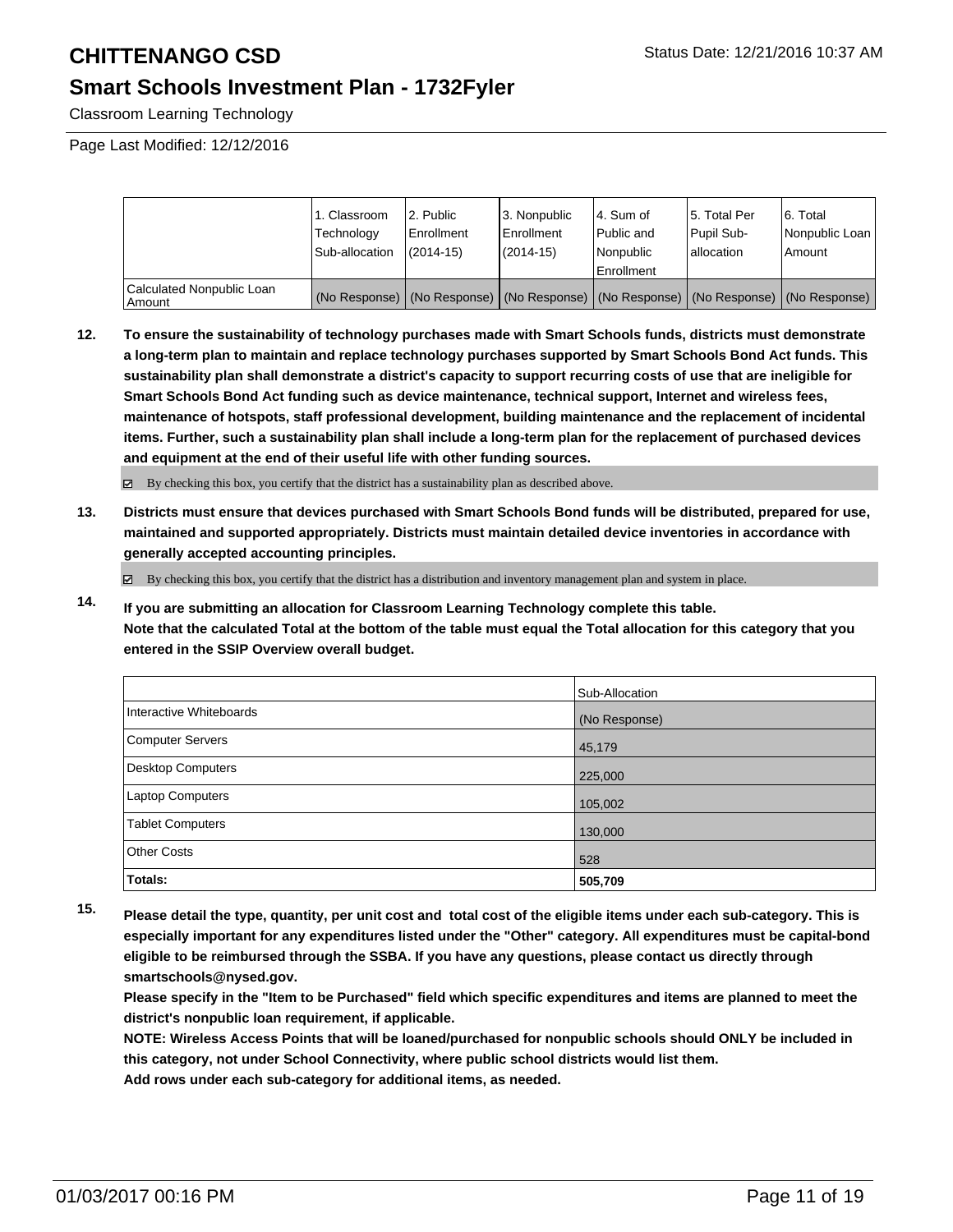## **Smart Schools Investment Plan - 1732Fyler**

Classroom Learning Technology

Page Last Modified: 12/12/2016

|                                     | 1. Classroom<br>Technology<br>Sub-allocation | 2. Public<br>Enrollment<br>$(2014 - 15)$ | 3. Nonpublic<br><b>Enrollment</b><br>(2014-15) | 4. Sum of<br>Public and<br>Nonpublic<br>Enrollment                                            | 15. Total Per<br>Pupil Sub-<br>lallocation | 6. Total<br>Nonpublic Loan<br>Amount |
|-------------------------------------|----------------------------------------------|------------------------------------------|------------------------------------------------|-----------------------------------------------------------------------------------------------|--------------------------------------------|--------------------------------------|
| Calculated Nonpublic Loan<br>Amount |                                              |                                          |                                                | (No Response)   (No Response)   (No Response)   (No Response)   (No Response)   (No Response) |                                            |                                      |

**12. To ensure the sustainability of technology purchases made with Smart Schools funds, districts must demonstrate a long-term plan to maintain and replace technology purchases supported by Smart Schools Bond Act funds. This sustainability plan shall demonstrate a district's capacity to support recurring costs of use that are ineligible for Smart Schools Bond Act funding such as device maintenance, technical support, Internet and wireless fees, maintenance of hotspots, staff professional development, building maintenance and the replacement of incidental items. Further, such a sustainability plan shall include a long-term plan for the replacement of purchased devices and equipment at the end of their useful life with other funding sources.**

By checking this box, you certify that the district has a sustainability plan as described above.

**13. Districts must ensure that devices purchased with Smart Schools Bond funds will be distributed, prepared for use, maintained and supported appropriately. Districts must maintain detailed device inventories in accordance with generally accepted accounting principles.**

 $\boxtimes$  By checking this box, you certify that the district has a distribution and inventory management plan and system in place.

**14. If you are submitting an allocation for Classroom Learning Technology complete this table. Note that the calculated Total at the bottom of the table must equal the Total allocation for this category that you entered in the SSIP Overview overall budget.**

|                          | Sub-Allocation |
|--------------------------|----------------|
| Interactive Whiteboards  | (No Response)  |
| Computer Servers         | 45,179         |
| <b>Desktop Computers</b> | 225,000        |
| <b>Laptop Computers</b>  | 105,002        |
| <b>Tablet Computers</b>  | 130,000        |
| Other Costs              | 528            |
| Totals:                  | 505,709        |

**15. Please detail the type, quantity, per unit cost and total cost of the eligible items under each sub-category. This is especially important for any expenditures listed under the "Other" category. All expenditures must be capital-bond eligible to be reimbursed through the SSBA. If you have any questions, please contact us directly through smartschools@nysed.gov.**

**Please specify in the "Item to be Purchased" field which specific expenditures and items are planned to meet the district's nonpublic loan requirement, if applicable.**

**NOTE: Wireless Access Points that will be loaned/purchased for nonpublic schools should ONLY be included in this category, not under School Connectivity, where public school districts would list them.**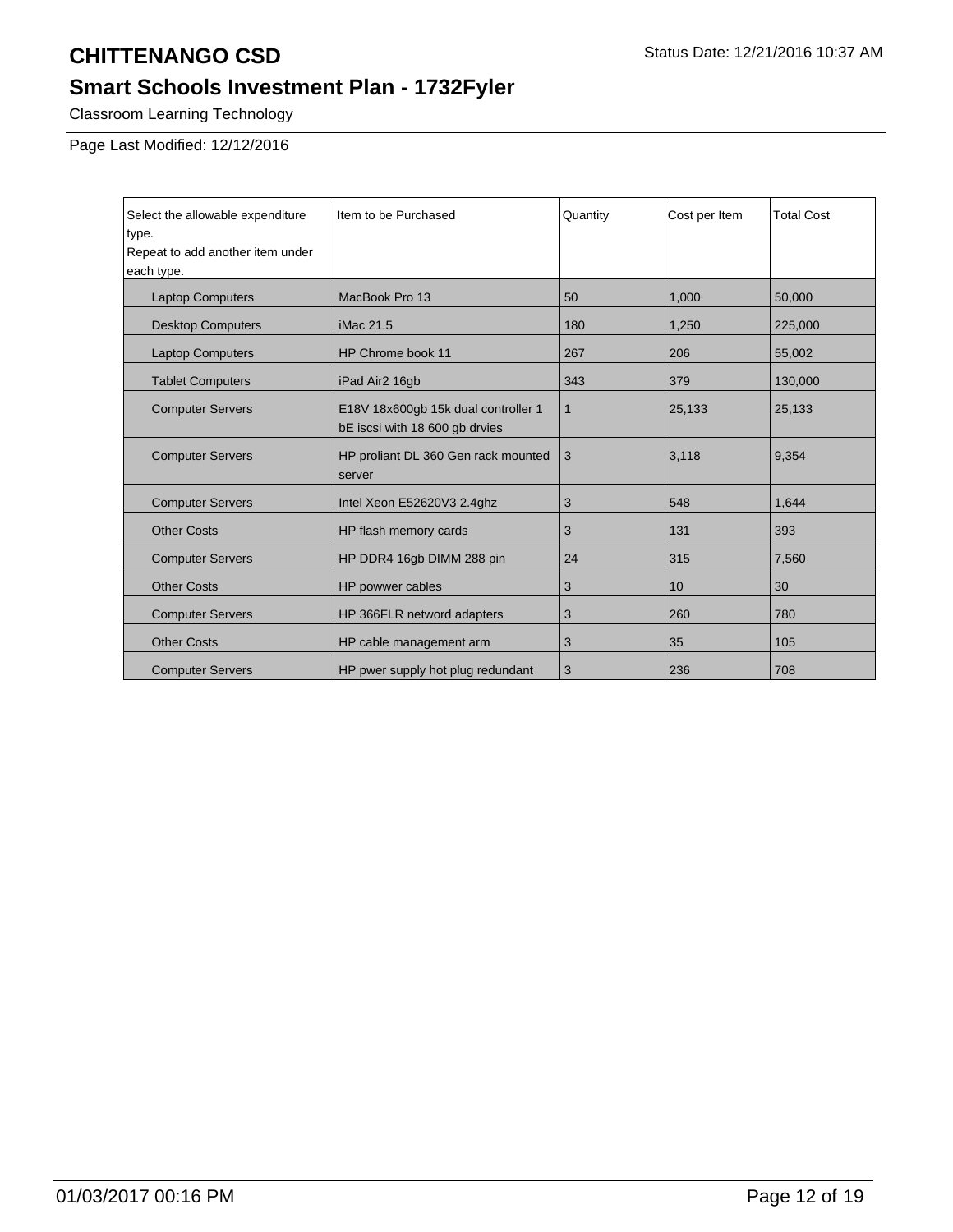# **Smart Schools Investment Plan - 1732Fyler**

Classroom Learning Technology

Page Last Modified: 12/12/2016

| Select the allowable expenditure<br>type.<br>Repeat to add another item under<br>each type. | Item to be Purchased                                                  | Quantity | Cost per Item   | <b>Total Cost</b> |
|---------------------------------------------------------------------------------------------|-----------------------------------------------------------------------|----------|-----------------|-------------------|
| <b>Laptop Computers</b>                                                                     | MacBook Pro 13                                                        | 50       | 1,000           | 50,000            |
| <b>Desktop Computers</b>                                                                    | iMac 21.5                                                             | 180      | 1,250           | 225,000           |
| <b>Laptop Computers</b>                                                                     | HP Chrome book 11                                                     | 267      | 206             | 55,002            |
| <b>Tablet Computers</b>                                                                     | iPad Air2 16gb                                                        | 343      | 379             | 130,000           |
| <b>Computer Servers</b>                                                                     | E18V 18x600gb 15k dual controller 1<br>bE iscsi with 18 600 gb drvies | 1        | 25,133          | 25,133            |
| <b>Computer Servers</b>                                                                     | HP proliant DL 360 Gen rack mounted<br>server                         | 3        | 3,118           | 9,354             |
| <b>Computer Servers</b>                                                                     | Intel Xeon E52620V3 2.4ghz                                            | 3        | 548             | 1,644             |
| <b>Other Costs</b>                                                                          | HP flash memory cards                                                 | 3        | 131             | 393               |
| <b>Computer Servers</b>                                                                     | HP DDR4 16gb DIMM 288 pin                                             | 24       | 315             | 7,560             |
| <b>Other Costs</b>                                                                          | HP powwer cables                                                      | 3        | 10 <sup>1</sup> | 30                |
| <b>Computer Servers</b>                                                                     | HP 366FLR netword adapters                                            | 3        | 260             | 780               |
| <b>Other Costs</b>                                                                          | HP cable management arm                                               | 3        | 35              | 105               |
| <b>Computer Servers</b>                                                                     | HP pwer supply hot plug redundant                                     | 3        | 236             | 708               |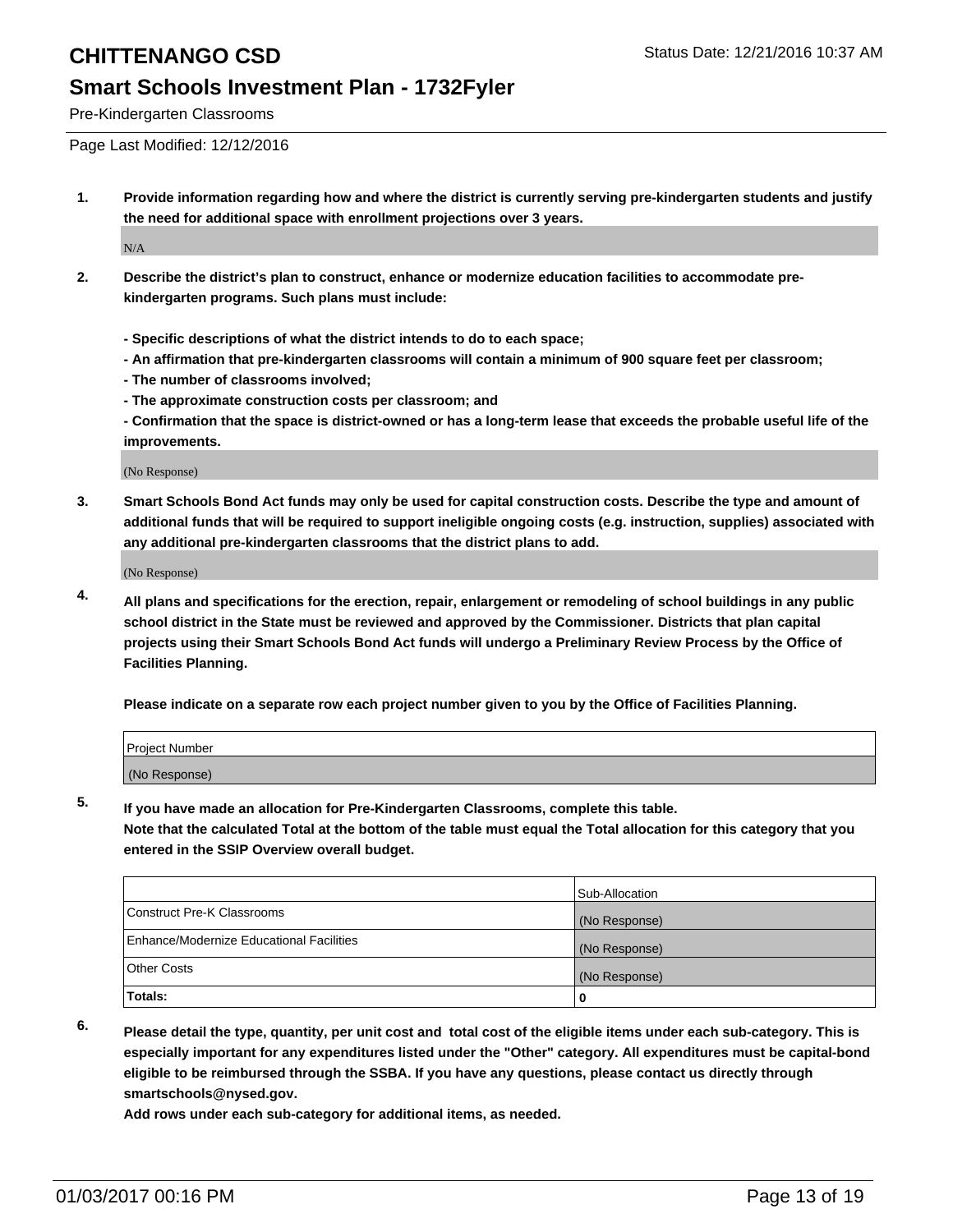## **Smart Schools Investment Plan - 1732Fyler**

Pre-Kindergarten Classrooms

Page Last Modified: 12/12/2016

**1. Provide information regarding how and where the district is currently serving pre-kindergarten students and justify the need for additional space with enrollment projections over 3 years.**

N/A

- **2. Describe the district's plan to construct, enhance or modernize education facilities to accommodate prekindergarten programs. Such plans must include:**
	- **Specific descriptions of what the district intends to do to each space;**
	- **An affirmation that pre-kindergarten classrooms will contain a minimum of 900 square feet per classroom;**
	- **The number of classrooms involved;**
	- **The approximate construction costs per classroom; and**
	- **Confirmation that the space is district-owned or has a long-term lease that exceeds the probable useful life of the improvements.**

(No Response)

**3. Smart Schools Bond Act funds may only be used for capital construction costs. Describe the type and amount of additional funds that will be required to support ineligible ongoing costs (e.g. instruction, supplies) associated with any additional pre-kindergarten classrooms that the district plans to add.**

(No Response)

**4. All plans and specifications for the erection, repair, enlargement or remodeling of school buildings in any public school district in the State must be reviewed and approved by the Commissioner. Districts that plan capital projects using their Smart Schools Bond Act funds will undergo a Preliminary Review Process by the Office of Facilities Planning.**

**Please indicate on a separate row each project number given to you by the Office of Facilities Planning.**

| Project Number |  |  |
|----------------|--|--|
| (No Response)  |  |  |

**5. If you have made an allocation for Pre-Kindergarten Classrooms, complete this table.**

**Note that the calculated Total at the bottom of the table must equal the Total allocation for this category that you entered in the SSIP Overview overall budget.**

|                                          | Sub-Allocation |
|------------------------------------------|----------------|
| Construct Pre-K Classrooms               | (No Response)  |
| Enhance/Modernize Educational Facilities | (No Response)  |
| <b>Other Costs</b>                       | (No Response)  |
| Totals:                                  | 0              |

**6. Please detail the type, quantity, per unit cost and total cost of the eligible items under each sub-category. This is especially important for any expenditures listed under the "Other" category. All expenditures must be capital-bond eligible to be reimbursed through the SSBA. If you have any questions, please contact us directly through smartschools@nysed.gov.**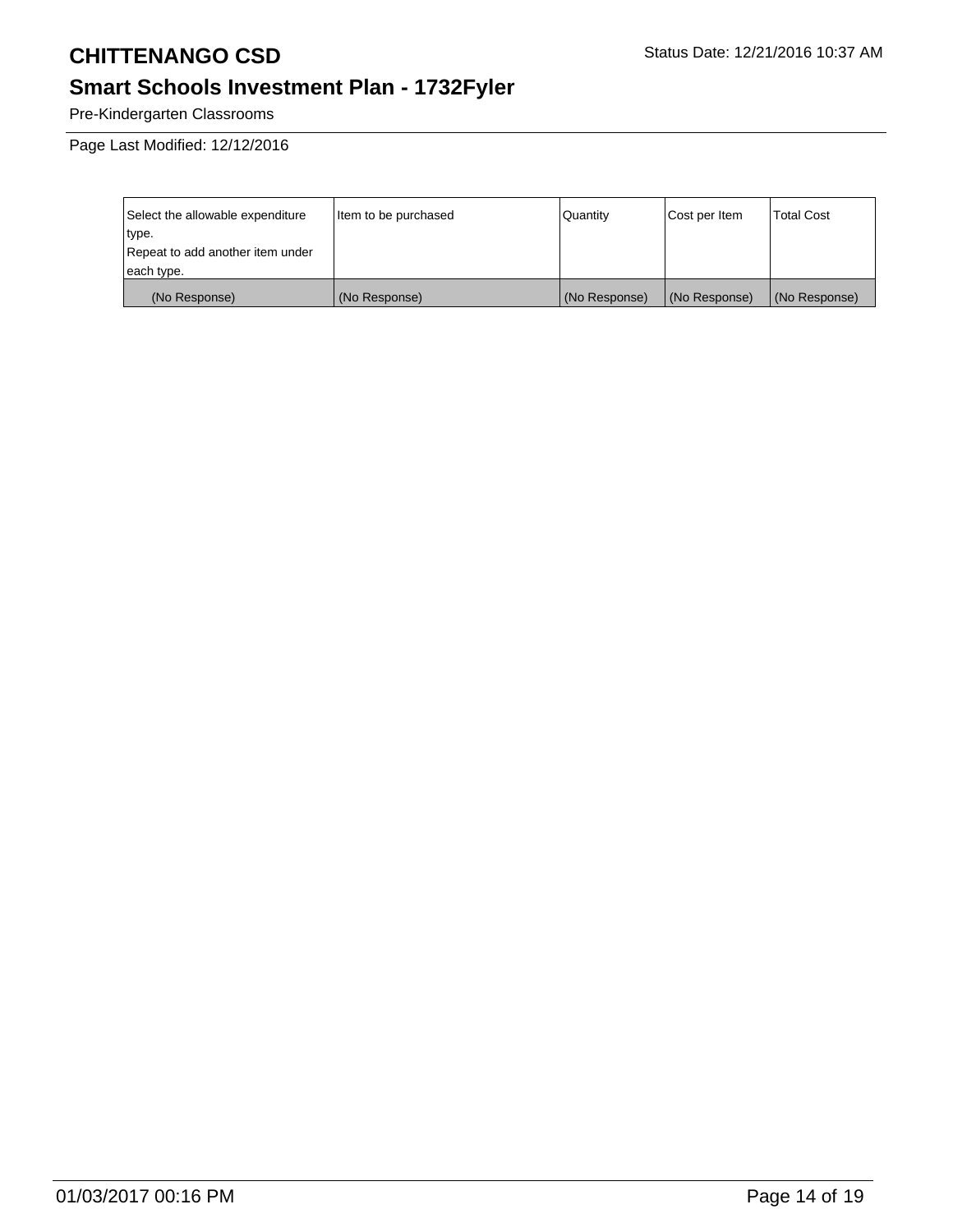# **Smart Schools Investment Plan - 1732Fyler**

Pre-Kindergarten Classrooms

Page Last Modified: 12/12/2016

| Select the allowable expenditure | Item to be purchased | Quantity      | Cost per Item | <b>Total Cost</b> |
|----------------------------------|----------------------|---------------|---------------|-------------------|
| type.                            |                      |               |               |                   |
| Repeat to add another item under |                      |               |               |                   |
| each type.                       |                      |               |               |                   |
| (No Response)                    | (No Response)        | (No Response) | (No Response) | (No Response)     |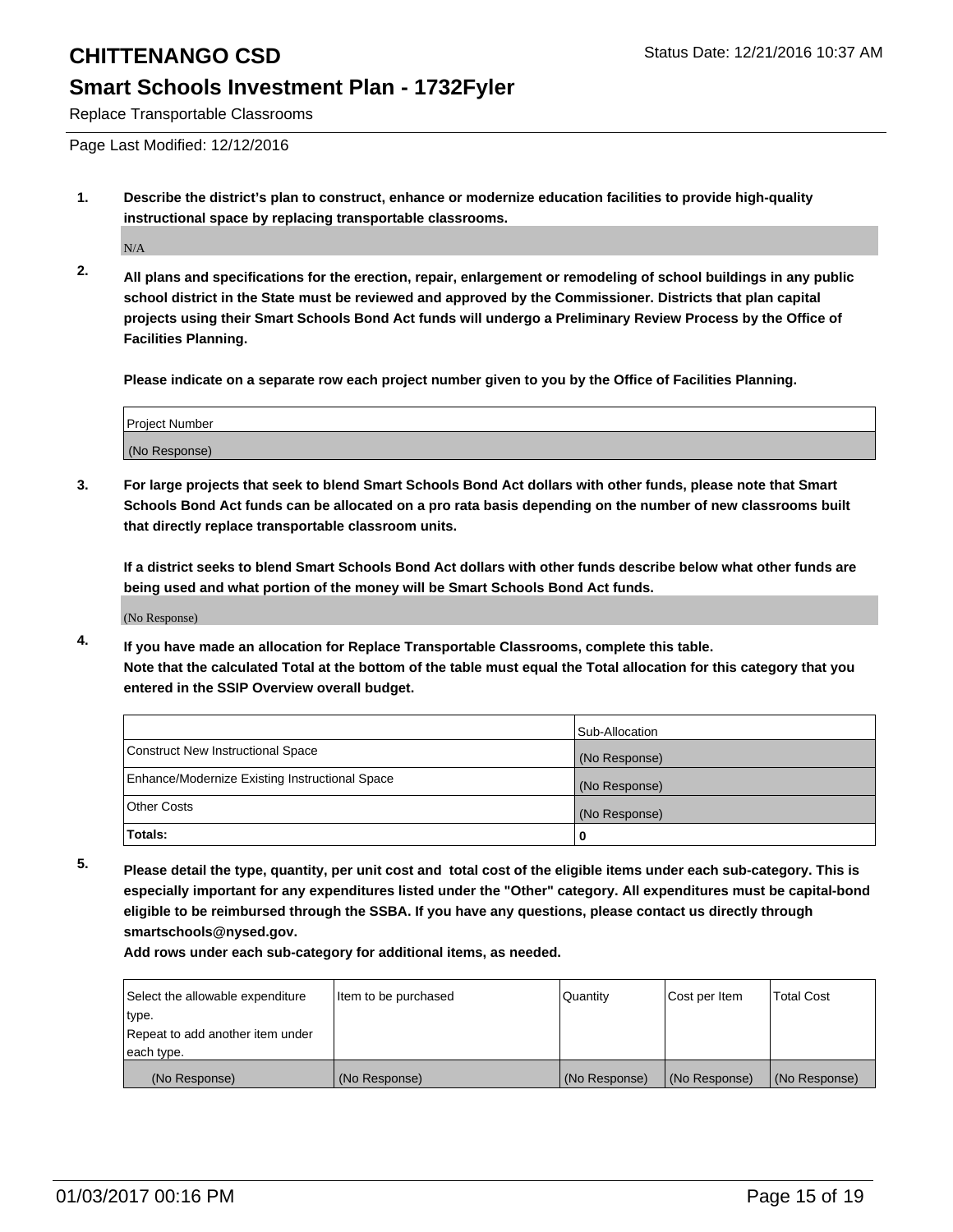## **Smart Schools Investment Plan - 1732Fyler**

Replace Transportable Classrooms

Page Last Modified: 12/12/2016

**1. Describe the district's plan to construct, enhance or modernize education facilities to provide high-quality instructional space by replacing transportable classrooms.**

N/A

**2. All plans and specifications for the erection, repair, enlargement or remodeling of school buildings in any public school district in the State must be reviewed and approved by the Commissioner. Districts that plan capital projects using their Smart Schools Bond Act funds will undergo a Preliminary Review Process by the Office of Facilities Planning.**

**Please indicate on a separate row each project number given to you by the Office of Facilities Planning.**

| <b>Project Number</b> |  |
|-----------------------|--|
| (No Response)         |  |

**3. For large projects that seek to blend Smart Schools Bond Act dollars with other funds, please note that Smart Schools Bond Act funds can be allocated on a pro rata basis depending on the number of new classrooms built that directly replace transportable classroom units.**

**If a district seeks to blend Smart Schools Bond Act dollars with other funds describe below what other funds are being used and what portion of the money will be Smart Schools Bond Act funds.**

(No Response)

**4. If you have made an allocation for Replace Transportable Classrooms, complete this table. Note that the calculated Total at the bottom of the table must equal the Total allocation for this category that you entered in the SSIP Overview overall budget.**

|                                                | Sub-Allocation |
|------------------------------------------------|----------------|
| Construct New Instructional Space              | (No Response)  |
| Enhance/Modernize Existing Instructional Space | (No Response)  |
| <b>Other Costs</b>                             | (No Response)  |
| Totals:                                        |                |

**5. Please detail the type, quantity, per unit cost and total cost of the eligible items under each sub-category. This is especially important for any expenditures listed under the "Other" category. All expenditures must be capital-bond eligible to be reimbursed through the SSBA. If you have any questions, please contact us directly through smartschools@nysed.gov.**

| Select the allowable expenditure | Item to be purchased | Quantity      | Cost per Item | <b>Total Cost</b> |
|----------------------------------|----------------------|---------------|---------------|-------------------|
| type.                            |                      |               |               |                   |
| Repeat to add another item under |                      |               |               |                   |
| each type.                       |                      |               |               |                   |
| (No Response)                    | (No Response)        | (No Response) | (No Response) | (No Response)     |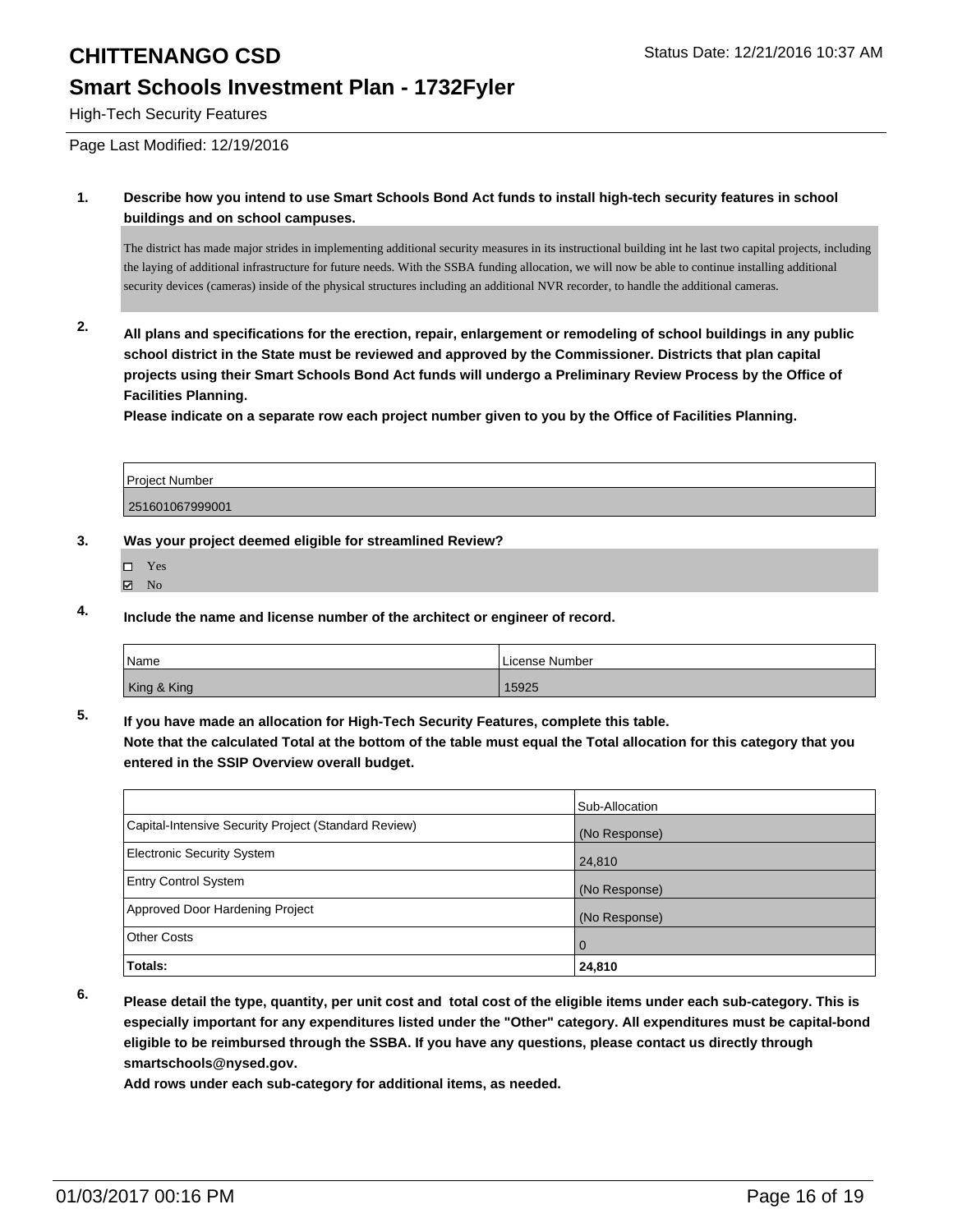# **Smart Schools Investment Plan - 1732Fyler**

High-Tech Security Features

Page Last Modified: 12/19/2016

#### **1. Describe how you intend to use Smart Schools Bond Act funds to install high-tech security features in school buildings and on school campuses.**

The district has made major strides in implementing additional security measures in its instructional building int he last two capital projects, including the laying of additional infrastructure for future needs. With the SSBA funding allocation, we will now be able to continue installing additional security devices (cameras) inside of the physical structures including an additional NVR recorder, to handle the additional cameras.

**2. All plans and specifications for the erection, repair, enlargement or remodeling of school buildings in any public school district in the State must be reviewed and approved by the Commissioner. Districts that plan capital projects using their Smart Schools Bond Act funds will undergo a Preliminary Review Process by the Office of Facilities Planning.** 

**Please indicate on a separate row each project number given to you by the Office of Facilities Planning.**

| <b>Project Number</b> |  |
|-----------------------|--|
| 251601067999001       |  |

#### **3. Was your project deemed eligible for streamlined Review?**

- Yes
- $\boxtimes$  No

**4. Include the name and license number of the architect or engineer of record.**

| Name        | License Number |
|-------------|----------------|
| King & King | 15925          |

**5. If you have made an allocation for High-Tech Security Features, complete this table.**

**Note that the calculated Total at the bottom of the table must equal the Total allocation for this category that you entered in the SSIP Overview overall budget.**

|                                                      | Sub-Allocation |
|------------------------------------------------------|----------------|
| Capital-Intensive Security Project (Standard Review) | (No Response)  |
| <b>Electronic Security System</b>                    | 24,810         |
| <b>Entry Control System</b>                          | (No Response)  |
| Approved Door Hardening Project                      | (No Response)  |
| <b>Other Costs</b>                                   | $\overline{0}$ |
| Totals:                                              | 24,810         |

**6. Please detail the type, quantity, per unit cost and total cost of the eligible items under each sub-category. This is especially important for any expenditures listed under the "Other" category. All expenditures must be capital-bond eligible to be reimbursed through the SSBA. If you have any questions, please contact us directly through smartschools@nysed.gov.**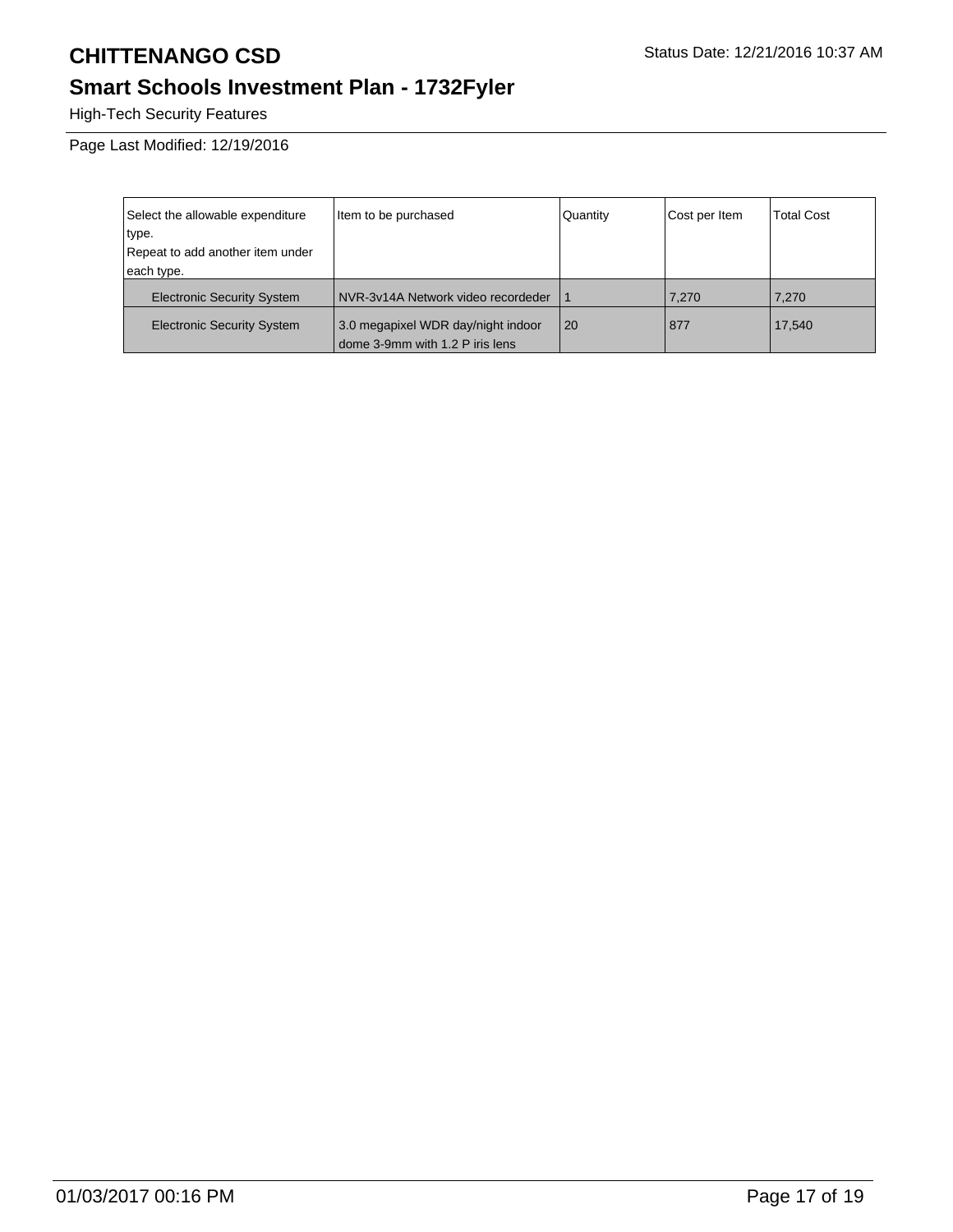# **Smart Schools Investment Plan - 1732Fyler**

High-Tech Security Features

Page Last Modified: 12/19/2016

| Select the allowable expenditure  | Item to be purchased                                                  | Quantity | Cost per Item | <b>Total Cost</b> |
|-----------------------------------|-----------------------------------------------------------------------|----------|---------------|-------------------|
| type.                             |                                                                       |          |               |                   |
| Repeat to add another item under  |                                                                       |          |               |                   |
| each type.                        |                                                                       |          |               |                   |
| <b>Electronic Security System</b> | NVR-3v14A Network video recordeder                                    |          | 7,270         | 7,270             |
| <b>Electronic Security System</b> | 3.0 megapixel WDR day/night indoor<br>dome 3-9mm with 1.2 P iris lens | 20       | 877           | 17.540            |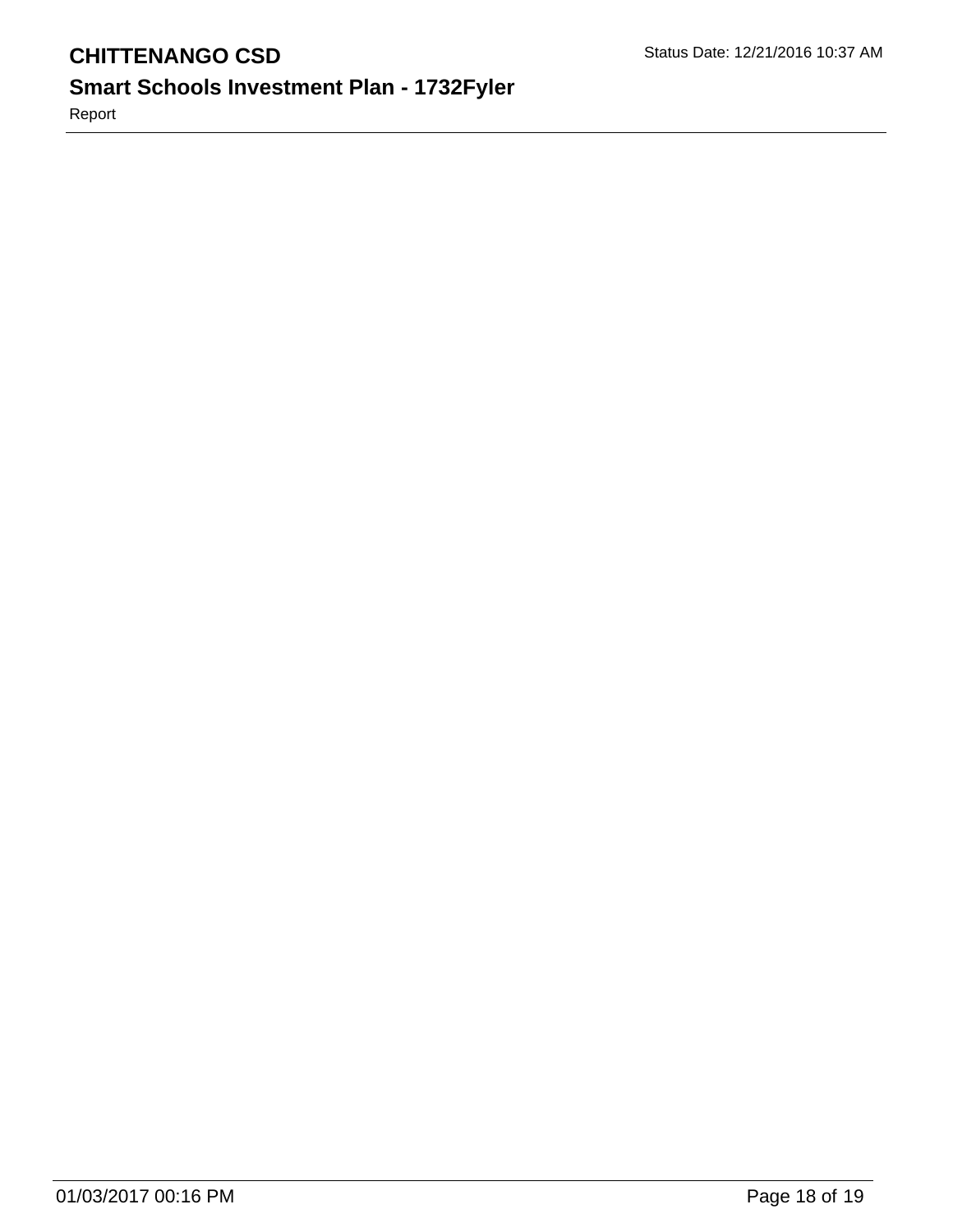**Smart Schools Investment Plan - 1732Fyler**

Report